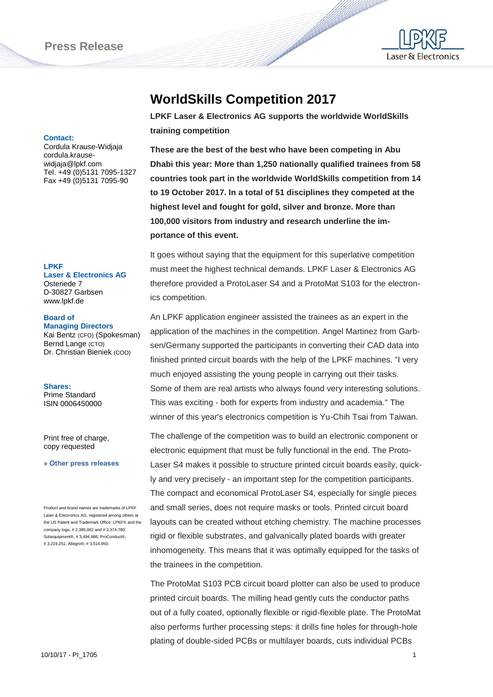

**Contact:**

Cordula Krause-Widjaja cordula.krausewidjaja@lpkf.com Tel. +49 (0)5131 7095-1327 Fax +49 (0)5131 7095-90

#### **LPKF**

**Laser & Electronics AG** Osteriede 7 D-30827 Garbsen www.lpkf.de

### **Board of**

**Managing Directors** Kai Bentz (CFO) (Spokesman) Bernd Lange (CTO) Dr. Christian Bieniek (COO)

**Shares:** Prime Standard ISIN 0006450000

Print free of charge, copy requested

**[» Other press releases](http://www.lpkf.com/press/index.htm)**

Product and brand names are trademarks of LPKF Laser & Electronics AG, registered among others at the US Patent and Trademark Office: LPKF® and the company logo, # 2,385,062 and # 2,374,780; Solarquipment®, # 3,494,986; ProConduct®, # 3,219,251; Allegro®, # 3,514,950.

# **WorldSkills Competition 2017**

**LPKF Laser & Electronics AG supports the worldwide WorldSkills training competition** 

**CONTRACTOR** 

**These are the best of the best who have been competing in Abu Dhabi this year: More than 1,250 nationally qualified trainees from 58 countries took part in the worldwide WorldSkills competition from 14 to 19 October 2017. In a total of 51 disciplines they competed at the highest level and fought for gold, silver and bronze. More than 100,000 visitors from industry and research underline the importance of this event.**

It goes without saying that the equipment for this superlative competition must meet the highest technical demands. LPKF Laser & Electronics AG therefore provided a ProtoLaser S4 and a ProtoMat S103 for the electronics competition.

An LPKF application engineer assisted the trainees as an expert in the application of the machines in the competition. Angel Martinez from Garbsen/Germany supported the participants in converting their CAD data into finished printed circuit boards with the help of the LPKF machines. "I very much enjoyed assisting the young people in carrying out their tasks. Some of them are real artists who always found very interesting solutions. This was exciting - both for experts from industry and academia." The winner of this year's electronics competition is Yu-Chih Tsai from Taiwan.

The challenge of the competition was to build an electronic component or electronic equipment that must be fully functional in the end. The Proto-Laser S4 makes it possible to structure printed circuit boards easily, quickly and very precisely - an important step for the competition participants. The compact and economical ProtoLaser S4, especially for single pieces and small series, does not require masks or tools. Printed circuit board layouts can be created without etching chemistry. The machine processes rigid or flexible substrates, and galvanically plated boards with greater inhomogeneity. This means that it was optimally equipped for the tasks of the trainees in the competition.

The ProtoMat S103 PCB circuit board plotter can also be used to produce printed circuit boards. The milling head gently cuts the conductor paths out of a fully coated, optionally flexible or rigid-flexible plate. The ProtoMat also performs further processing steps: it drills fine holes for through-hole plating of double-sided PCBs or multilayer boards, cuts individual PCBs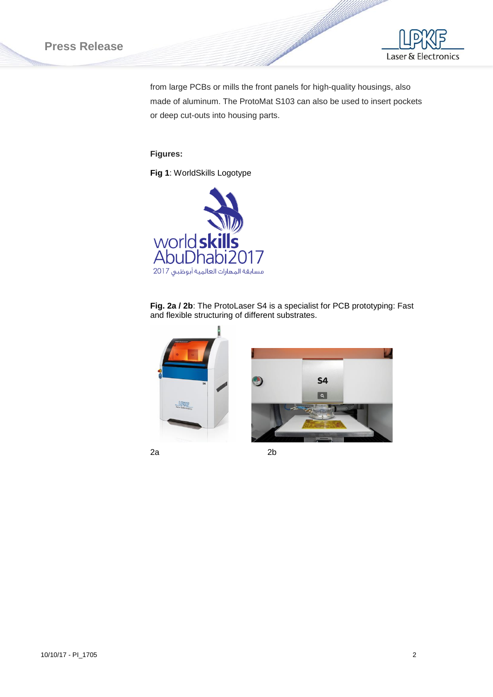# **Press Release**



from large PCBs or mills the front panels for high-quality housings, also made of aluminum. The ProtoMat S103 can also be used to insert pockets or deep cut-outs into housing parts.

## **Figures:**

**Fig 1**: WorldSkills Logotype



**Fig. 2a / 2b**: The ProtoLaser S4 is a specialist for PCB prototyping: Fast and flexible structuring of different substrates.







2a 2b